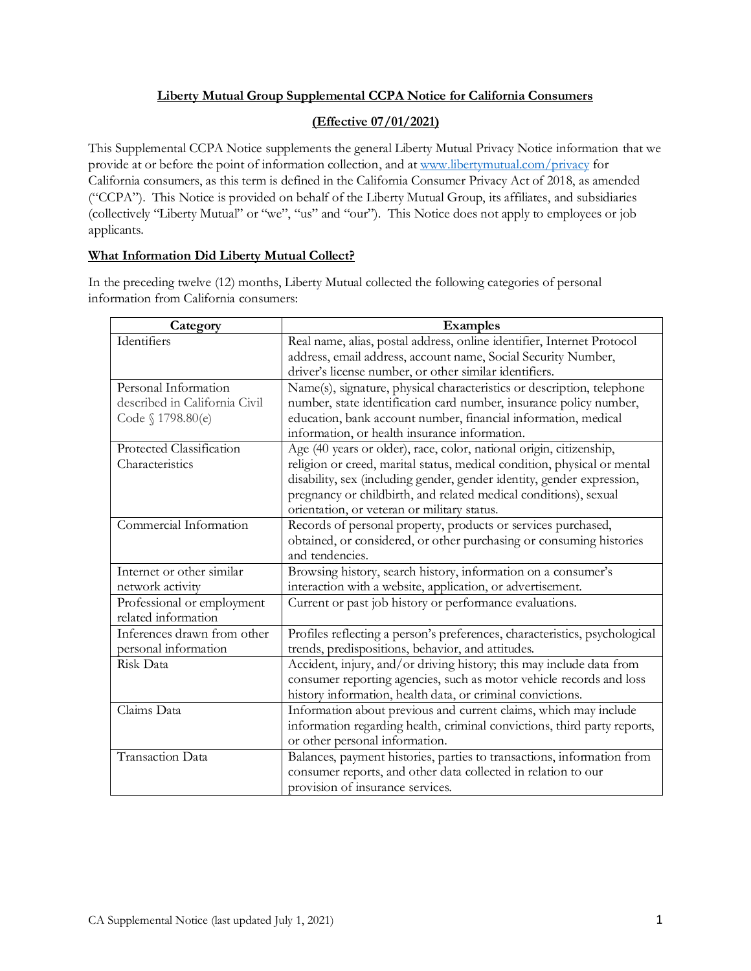# **Liberty Mutual Group Supplemental CCPA Notice for California Consumers**

# **(Effective 07/01/2021)**

This Supplemental CCPA Notice supplements the general Liberty Mutual Privacy Notice information that we provide at or before the point of information collection, and a[t www.libertymutual.com/privacy](http://www.libertymutual.com/privacy) for California consumers, as this term is defined in the California Consumer Privacy Act of 2018, as amended ("CCPA"). This Notice is provided on behalf of the Liberty Mutual Group, its affiliates, and subsidiaries (collectively "Liberty Mutual" or "we", "us" and "our"). This Notice does not apply to employees or job applicants.

# **What Information Did Liberty Mutual Collect?**

In the preceding twelve (12) months, Liberty Mutual collected the following categories of personal information from California consumers:

| Category                      | <b>Examples</b>                                                            |
|-------------------------------|----------------------------------------------------------------------------|
| Identifiers                   | Real name, alias, postal address, online identifier, Internet Protocol     |
|                               | address, email address, account name, Social Security Number,              |
|                               | driver's license number, or other similar identifiers.                     |
| Personal Information          | Name(s), signature, physical characteristics or description, telephone     |
| described in California Civil | number, state identification card number, insurance policy number,         |
| Code § 1798.80(e)             | education, bank account number, financial information, medical             |
|                               | information, or health insurance information.                              |
| Protected Classification      | Age (40 years or older), race, color, national origin, citizenship,        |
| Characteristics               | religion or creed, marital status, medical condition, physical or mental   |
|                               | disability, sex (including gender, gender identity, gender expression,     |
|                               | pregnancy or childbirth, and related medical conditions), sexual           |
|                               | orientation, or veteran or military status.                                |
| Commercial Information        | Records of personal property, products or services purchased,              |
|                               | obtained, or considered, or other purchasing or consuming histories        |
|                               | and tendencies.                                                            |
| Internet or other similar     | Browsing history, search history, information on a consumer's              |
| network activity              | interaction with a website, application, or advertisement.                 |
| Professional or employment    | Current or past job history or performance evaluations.                    |
| related information           |                                                                            |
| Inferences drawn from other   | Profiles reflecting a person's preferences, characteristics, psychological |
| personal information          | trends, predispositions, behavior, and attitudes.                          |
| Risk Data                     | Accident, injury, and/or driving history; this may include data from       |
|                               | consumer reporting agencies, such as motor vehicle records and loss        |
|                               | history information, health data, or criminal convictions.                 |
| Claims Data                   | Information about previous and current claims, which may include           |
|                               | information regarding health, criminal convictions, third party reports,   |
|                               | or other personal information.                                             |
| Transaction Data              | Balances, payment histories, parties to transactions, information from     |
|                               | consumer reports, and other data collected in relation to our              |
|                               | provision of insurance services.                                           |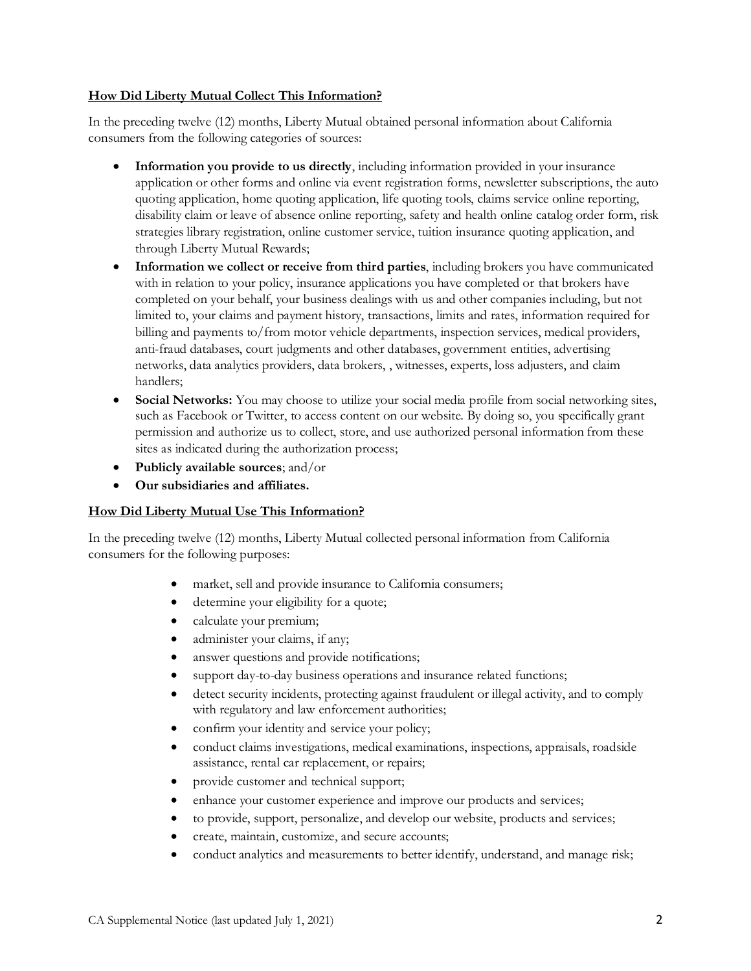### **How Did Liberty Mutual Collect This Information?**

In the preceding twelve (12) months, Liberty Mutual obtained personal information about California consumers from the following categories of sources:

- **Information you provide to us directly**, including information provided in your insurance application or other forms and online via event registration forms, newsletter subscriptions, the auto quoting application, home quoting application, life quoting tools, claims service online reporting, disability claim or leave of absence online reporting, safety and health online catalog order form, risk strategies library registration, online customer service, tuition insurance quoting application, and through Liberty Mutual Rewards;
- **Information we collect or receive from third parties**, including brokers you have communicated with in relation to your policy, insurance applications you have completed or that brokers have completed on your behalf, your business dealings with us and other companies including, but not limited to, your claims and payment history, transactions, limits and rates, information required for billing and payments to/from motor vehicle departments, inspection services, medical providers, anti-fraud databases, court judgments and other databases, government entities, advertising networks, data analytics providers, data brokers, , witnesses, experts, loss adjusters, and claim handlers;
- **Social Networks:** You may choose to utilize your social media profile from social networking sites, such as Facebook or Twitter, to access content on our website. By doing so, you specifically grant permission and authorize us to collect, store, and use authorized personal information from these sites as indicated during the authorization process;
- **Publicly available sources**; and/or
- **Our subsidiaries and affiliates.**

## **How Did Liberty Mutual Use This Information?**

In the preceding twelve (12) months, Liberty Mutual collected personal information from California consumers for the following purposes:

- market, sell and provide insurance to California consumers;
- determine your eligibility for a quote;
- calculate your premium;
- administer your claims, if any;
- answer questions and provide notifications;
- support day-to-day business operations and insurance related functions;
- detect security incidents, protecting against fraudulent or illegal activity, and to comply with regulatory and law enforcement authorities;
- confirm your identity and service your policy;
- conduct claims investigations, medical examinations, inspections, appraisals, roadside assistance, rental car replacement, or repairs;
- provide customer and technical support;
- enhance your customer experience and improve our products and services;
- to provide, support, personalize, and develop our website, products and services;
- create, maintain, customize, and secure accounts;
- conduct analytics and measurements to better identify, understand, and manage risk;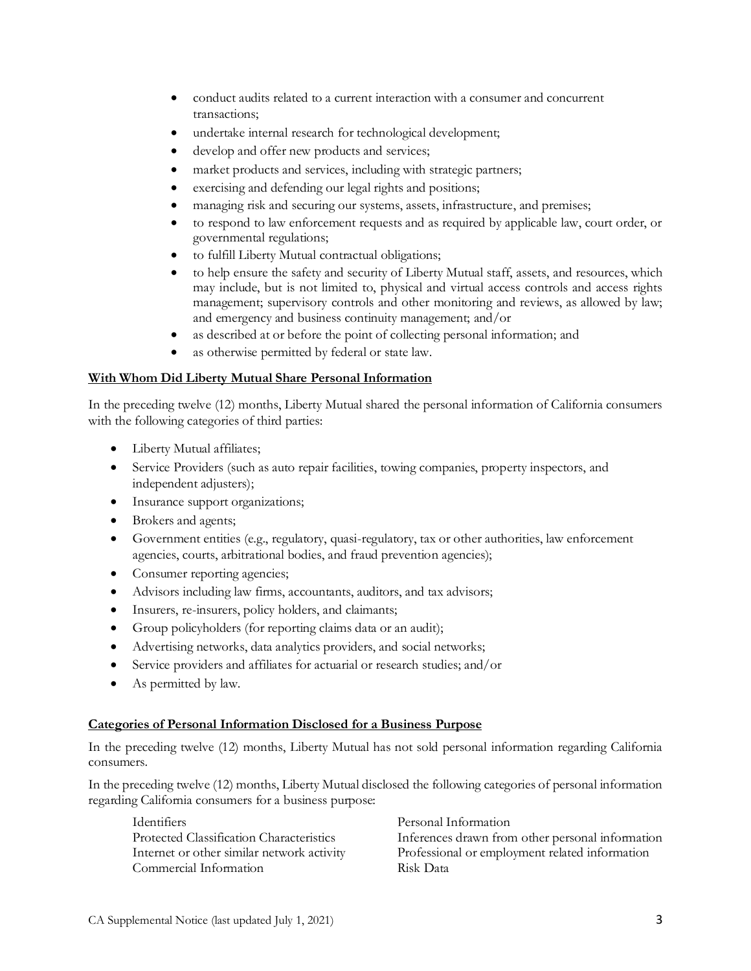- conduct audits related to a current interaction with a consumer and concurrent transactions;
- undertake internal research for technological development;
- develop and offer new products and services;
- market products and services, including with strategic partners;
- exercising and defending our legal rights and positions;
- managing risk and securing our systems, assets, infrastructure, and premises;
- to respond to law enforcement requests and as required by applicable law, court order, or governmental regulations;
- to fulfill Liberty Mutual contractual obligations;
- to help ensure the safety and security of Liberty Mutual staff, assets, and resources, which may include, but is not limited to, physical and virtual access controls and access rights management; supervisory controls and other monitoring and reviews, as allowed by law; and emergency and business continuity management; and/or
- as described at or before the point of collecting personal information; and
- as otherwise permitted by federal or state law.

## **With Whom Did Liberty Mutual Share Personal Information**

In the preceding twelve (12) months, Liberty Mutual shared the personal information of California consumers with the following categories of third parties:

- Liberty Mutual affiliates;
- Service Providers (such as auto repair facilities, towing companies, property inspectors, and independent adjusters);
- Insurance support organizations;
- Brokers and agents;
- Government entities (e.g., regulatory, quasi-regulatory, tax or other authorities, law enforcement agencies, courts, arbitrational bodies, and fraud prevention agencies);
- Consumer reporting agencies;
- Advisors including law firms, accountants, auditors, and tax advisors;
- Insurers, re-insurers, policy holders, and claimants;
- Group policyholders (for reporting claims data or an audit);
- Advertising networks, data analytics providers, and social networks;
- Service providers and affiliates for actuarial or research studies; and/or
- As permitted by law.

## **Categories of Personal Information Disclosed for a Business Purpose**

In the preceding twelve (12) months, Liberty Mutual has not sold personal information regarding California consumers.

In the preceding twelve (12) months, Liberty Mutual disclosed the following categories of personal information regarding California consumers for a business purpose:

Identifiers Personal Information<br>Protected Classification Characteristics Inferences drawn from Commercial Information Risk Data

Inferences drawn from other personal information Internet or other similar network activity Professional or employment related information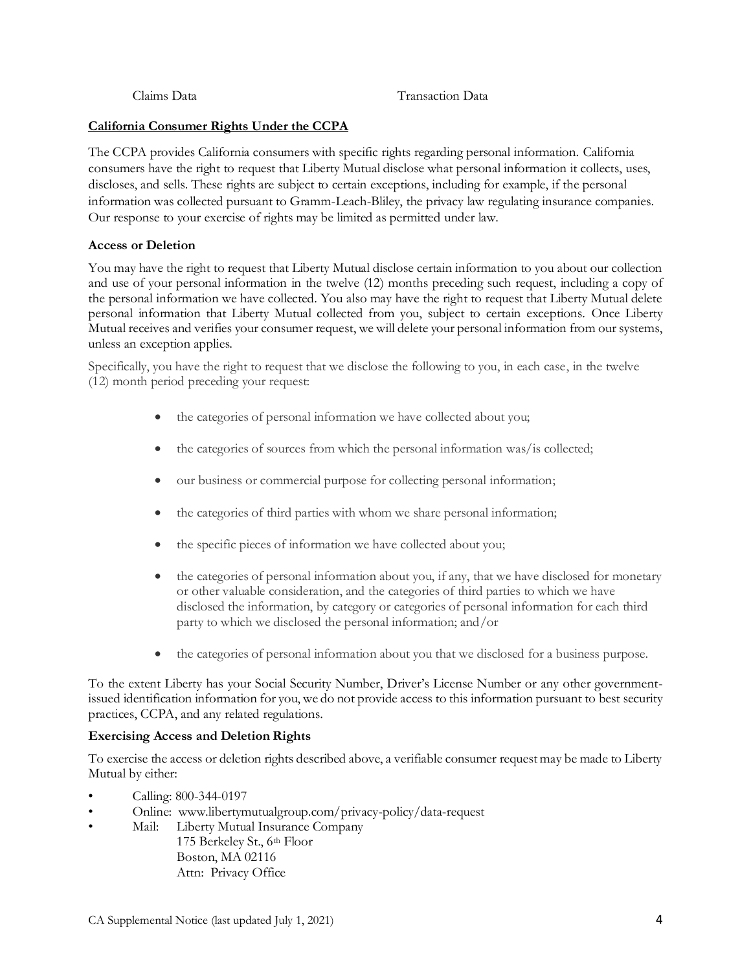#### Claims Data Transaction Data

## **California Consumer Rights Under the CCPA**

The CCPA provides California consumers with specific rights regarding personal information. California consumers have the right to request that Liberty Mutual disclose what personal information it collects, uses, discloses, and sells. These rights are subject to certain exceptions, including for example, if the personal information was collected pursuant to Gramm-Leach-Bliley, the privacy law regulating insurance companies. Our response to your exercise of rights may be limited as permitted under law.

#### **Access or Deletion**

You may have the right to request that Liberty Mutual disclose certain information to you about our collection and use of your personal information in the twelve (12) months preceding such request, including a copy of the personal information we have collected. You also may have the right to request that Liberty Mutual delete personal information that Liberty Mutual collected from you, subject to certain exceptions. Once Liberty Mutual receives and verifies your consumer request, we will delete your personal information from our systems, unless an exception applies.

Specifically, you have the right to request that we disclose the following to you, in each case, in the twelve (12) month period preceding your request:

- the categories of personal information we have collected about you;
- the categories of sources from which the personal information was/is collected;
- our business or commercial purpose for collecting personal information;
- the categories of third parties with whom we share personal information;
- the specific pieces of information we have collected about you;
- the categories of personal information about you, if any, that we have disclosed for monetary or other valuable consideration, and the categories of third parties to which we have disclosed the information, by category or categories of personal information for each third party to which we disclosed the personal information; and/or
- the categories of personal information about you that we disclosed for a business purpose.

To the extent Liberty has your Social Security Number, Driver's License Number or any other governmentissued identification information for you, we do not provide access to this information pursuant to best security practices, CCPA, and any related regulations.

## **Exercising Access and Deletion Rights**

To exercise the access or deletion rights described above, a verifiable consumer request may be made to Liberty Mutual by either:

- Calling: 800-344-0197
- Online: www.libertymutualgroup.com/privacy-policy/data-request
- Mail: Liberty Mutual Insurance Company 175 Berkeley St., 6th Floor Boston, MA 02116 Attn: Privacy Office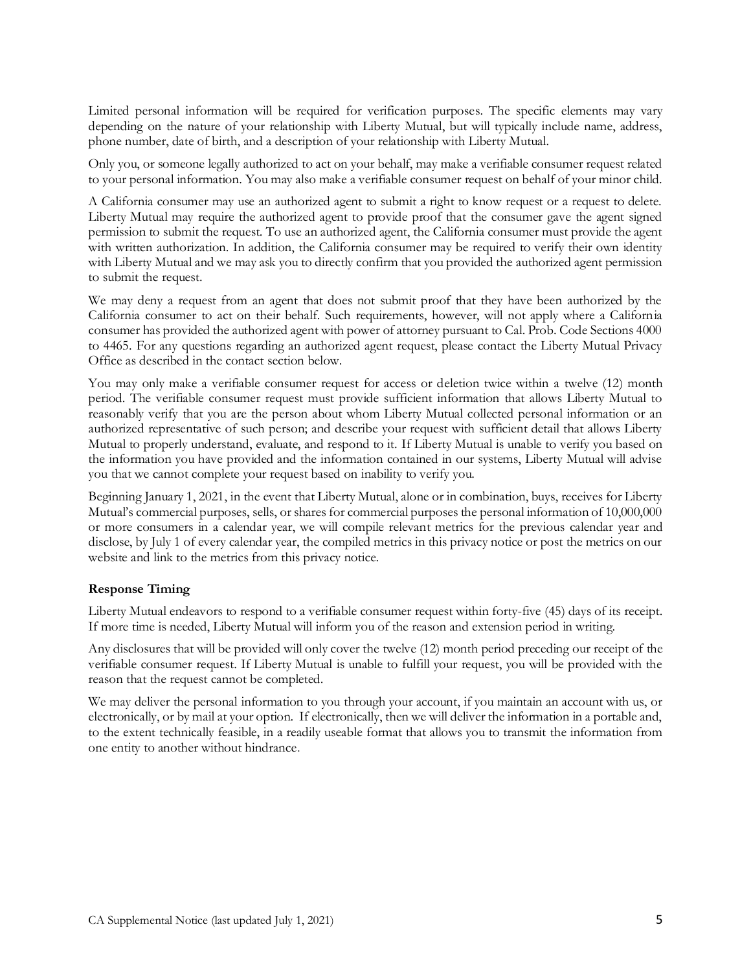Limited personal information will be required for verification purposes. The specific elements may vary depending on the nature of your relationship with Liberty Mutual, but will typically include name, address, phone number, date of birth, and a description of your relationship with Liberty Mutual.

Only you, or someone legally authorized to act on your behalf, may make a verifiable consumer request related to your personal information. You may also make a verifiable consumer request on behalf of your minor child.

A California consumer may use an authorized agent to submit a right to know request or a request to delete. Liberty Mutual may require the authorized agent to provide proof that the consumer gave the agent signed permission to submit the request. To use an authorized agent, the California consumer must provide the agent with written authorization. In addition, the California consumer may be required to verify their own identity with Liberty Mutual and we may ask you to directly confirm that you provided the authorized agent permission to submit the request.

We may deny a request from an agent that does not submit proof that they have been authorized by the California consumer to act on their behalf. Such requirements, however, will not apply where a California consumer has provided the authorized agent with power of attorney pursuant to Cal. Prob. Code Sections 4000 to 4465. For any questions regarding an authorized agent request, please contact the Liberty Mutual Privacy Office as described in the contact section below.

You may only make a verifiable consumer request for access or deletion twice within a twelve (12) month period. The verifiable consumer request must provide sufficient information that allows Liberty Mutual to reasonably verify that you are the person about whom Liberty Mutual collected personal information or an authorized representative of such person; and describe your request with sufficient detail that allows Liberty Mutual to properly understand, evaluate, and respond to it. If Liberty Mutual is unable to verify you based on the information you have provided and the information contained in our systems, Liberty Mutual will advise you that we cannot complete your request based on inability to verify you.

Beginning January 1, 2021, in the event that Liberty Mutual, alone or in combination, buys, receives for Liberty Mutual's commercial purposes, sells, or shares for commercial purposes the personal information of 10,000,000 or more consumers in a calendar year, we will compile relevant metrics for the previous calendar year and disclose, by July 1 of every calendar year, the compiled metrics in this privacy notice or post the metrics on our website and link to the metrics from this privacy notice.

## **Response Timing**

Liberty Mutual endeavors to respond to a verifiable consumer request within forty-five (45) days of its receipt. If more time is needed, Liberty Mutual will inform you of the reason and extension period in writing.

Any disclosures that will be provided will only cover the twelve (12) month period preceding our receipt of the verifiable consumer request. If Liberty Mutual is unable to fulfill your request, you will be provided with the reason that the request cannot be completed.

We may deliver the personal information to you through your account, if you maintain an account with us, or electronically, or by mail at your option. If electronically, then we will deliver the information in a portable and, to the extent technically feasible, in a readily useable format that allows you to transmit the information from one entity to another without hindrance.